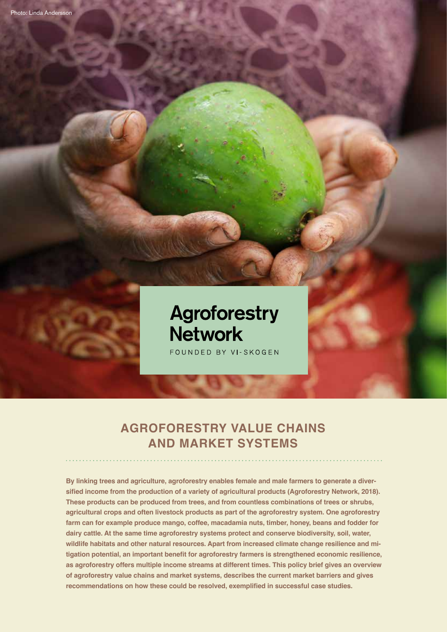

FOUNDED BY VI-SKOGEN

# **AGROFORESTRY VALUE CHAINS AND MARKET SYSTEMS**

**By linking trees and agriculture, agroforestry enables female and male farmers to generate a diversified income from the production of a variety of agricultural products (Agroforestry Network, 2018). These products can be produced from trees, and from countless combinations of trees or shrubs, agricultural crops and often livestock products as part of the agroforestry system. One agroforestry farm can for example produce mango, coffee, macadamia nuts, timber, honey, beans and fodder for dairy cattle. At the same time agroforestry systems protect and conserve biodiversity, soil, water, wildlife habitats and other natural resources. Apart from increased climate change resilience and mitigation potential, an important benefit for agroforestry farmers is strengthened economic resilience, as agroforestry offers multiple income streams at different times. This policy brief gives an overview of agroforestry value chains and market systems, describes the current market barriers and gives recommendations on how these could be resolved, exemplified in successful case studies.**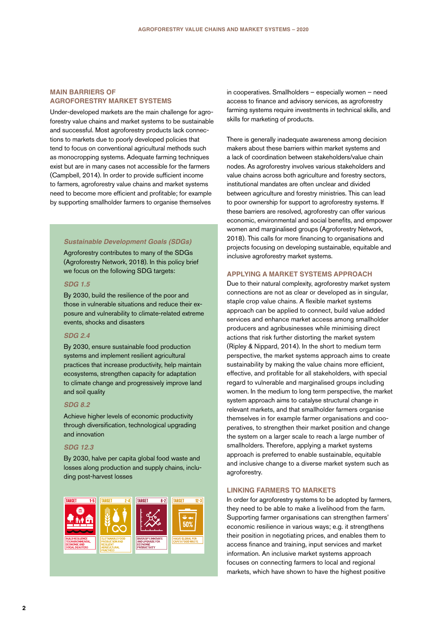# **MAIN BARRIERS OF AGROFORESTRY MARKET SYSTEMS**

Under-developed markets are the main challenge for agroforestry value chains and market systems to be sustainable and successful. Most agroforestry products lack connections to markets due to poorly developed policies that tend to focus on conventional agricultural methods such as monocropping systems. Adequate farming techniques exist but are in many cases not accessible for the farmers (Campbell, 2014). In order to provide sufficient income to farmers, agroforestry value chains and market systems need to become more efficient and profitable; for example by supporting smallholder farmers to organise themselves

### *Sustainable Development Goals (SDGs)*

Agroforestry contributes to many of the SDGs (Agroforestry Network, 2018). In this policy brief we focus on the following SDG targets:

### *SDG 1.5*

By 2030, build the resilience of the poor and those in vulnerable situations and reduce their exposure and vulnerability to climate-related extreme events, shocks and disasters

### *SDG 2.4*

By 2030, ensure sustainable food production systems and implement resilient agricultural practices that increase productivity, help maintain ecosystems, strengthen capacity for adaptation to climate change and progressively improve land and soil quality

### *SDG 8.2*

Achieve higher levels of economic productivity through diversification, technological upgrading and innovation

# *SDG 12.3*

By 2030, halve per capita global food waste and losses along production and supply chains, including post-harvest losses



in cooperatives. Smallholders – especially women – need access to finance and advisory services, as agroforestry farming systems require investments in technical skills, and skills for marketing of products.

There is generally inadequate awareness among decision makers about these barriers within market systems and a lack of coordination between stakeholders/value chain nodes. As agroforestry involves various stakeholders and value chains across both agriculture and forestry sectors, institutional mandates are often unclear and divided between agriculture and forestry ministries. This can lead to poor ownership for support to agroforestry systems. If these barriers are resolved, agroforestry can offer various economic, environmental and social benefits, and empower women and marginalised groups (Agroforestry Network, 2018). This calls for more financing to organisations and projects focusing on developing sustainable, equitable and inclusive agroforestry market systems.

# **APPLYING A MARKET SYSTEMS APPROACH**

Due to their natural complexity, agroforestry market system connections are not as clear or developed as in singular, staple crop value chains. A flexible market systems approach can be applied to connect, build value added services and enhance market access among smallholder producers and agribusinesses while minimising direct actions that risk further distorting the market system (Ripley & Nippard, 2014). In the short to medium term perspective, the market systems approach aims to create sustainability by making the value chains more efficient, effective, and profitable for all stakeholders, with special regard to vulnerable and marginalised groups including women. In the medium to long term perspective, the market system approach aims to catalyse structural change in relevant markets, and that smallholder farmers organise themselves in for example farmer organisations and cooperatives, to strengthen their market position and change the system on a larger scale to reach a large number of smallholders. Therefore, applying a market systems approach is preferred to enable sustainable, equitable and inclusive change to a diverse market system such as agroforestry.

### **LINKING FARMERS TO MARKETS**

In order for agroforestry systems to be adopted by farmers, they need to be able to make a livelihood from the farm. Supporting farmer organisations can strengthen farmers' economic resilience in various ways; e.g. it strengthens their position in negotiating prices, and enables them to access finance and training, input services and market information. An inclusive market systems approach focuses on connecting farmers to local and regional markets, which have shown to have the highest positive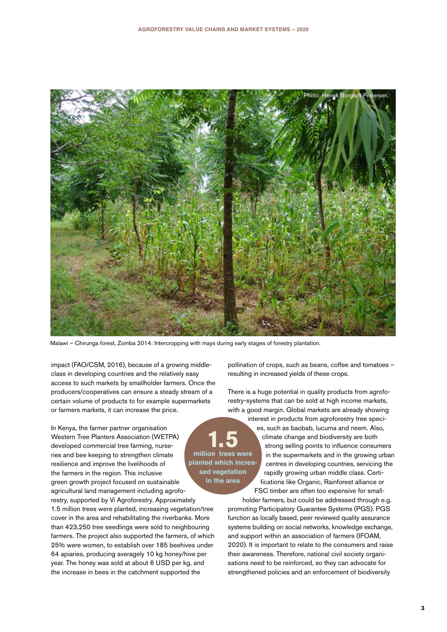

Malawi – Chirunga forest, Zomba 2014: Intercropping with mays during early stages of forestry plantation.

impact (FAO/CSM, 2016), because of a growing middleclass in developing countries and the relatively easy access to such markets by smallholder farmers. Once the producers/cooperatives can ensure a steady stream of a certain volume of products to for example supermarkets or farmers markets, it can increase the price.

In Kenya, the farmer partner organisation Western Tree Planters Association (WETPA) developed commercial tree farming, nurseries and bee keeping to strengthen climate resilience and improve the livelihoods of the farmers in the region. This inclusive green growth project focused on sustainable agricultural land management including agroforestry, supported by Vi Agroforestry. Approximately 1.5 million trees were planted, increasing vegetation/tree cover in the area and rehabilitating the riverbanks. More than 423,250 tree seedlings were sold to neighbouring farmers. The project also supported the farmers, of which 25% were women, to establish over 185 beehives under 64 apiaries, producing averagely 10 kg honey/hive per year. The honey was sold at about 6 USD per kg, and the increase in bees in the catchment supported the

pollination of crops, such as beans, coffee and tomatoes – resulting in increased yields of these crops.

There is a huge potential in quality products from agroforestry-systems that can be sold at high income markets, with a good margin. Global markets are already showing

> interest in products from agroforestry tree species, such as baobab, lucuma and neem. Also, climate change and biodiversity are both strong selling points to influence consumers in the supermarkets and in the growing urban centres in developing countries, servicing the rapidly growing urban middle class. Certifications like Organic, Rainforest alliance or FSC timber are often too expensive for small-

holder farmers, but could be addressed through e.g. promoting Participatory Guarantee Systems (PGS). PGS function as locally based, peer reviewed quality assurance systems building on social networks, knowledge exchange, and support within an association of farmers (IFOAM, 2020). It is important to relate to the consumers and raise their awareness. Therefore, national civil society organisations need to be reinforced, so they can advocate for strengthened policies and an enforcement of biodiversity



**planted which increased vegetation in the area**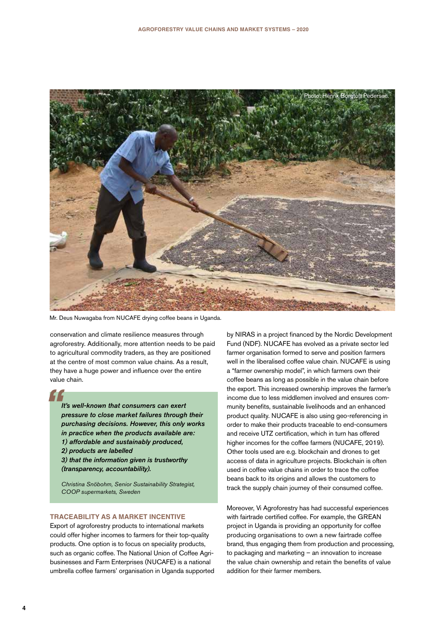

Mr. Deus Nuwagaba from NUCAFE drying coffee beans in Uganda.

conservation and climate resilience measures through agroforestry. Additionally, more attention needs to be paid to agricultural commodity traders, as they are positioned at the centre of most common value chains. As a result, they have a huge power and influence over the entire value chain.

# *"*

*It's well-known that consumers can exert pressure to close market failures through their purchasing decisions. However, this only works in practice when the products available are: 1) affordable and sustainably produced, 2) products are labelled 3) that the information given is trustworthy (transparency, accountability).*

*Christina Snöbohm, Senior Sustainability Strategist, COOP supermarkets, Sweden*

# **TRACEABILITY AS A MARKET INCENTIVE**

Export of agroforestry products to international markets could offer higher incomes to farmers for their top-quality products. One option is to focus on speciality products, such as organic coffee. The National Union of Coffee Agribusinesses and Farm Enterprises (NUCAFE) is a national umbrella coffee farmers' organisation in Uganda supported by NIRAS in a project financed by the Nordic Development Fund (NDF). NUCAFE has evolved as a private sector led farmer organisation formed to serve and position farmers well in the liberalised coffee value chain. NUCAFE is using a "farmer ownership model", in which farmers own their coffee beans as long as possible in the value chain before the export. This increased ownership improves the farmer's income due to less middlemen involved and ensures community benefits, sustainable livelihoods and an enhanced product quality. NUCAFE is also using geo-referencing in order to make their products traceable to end-consumers and receive UTZ certification, which in turn has offered higher incomes for the coffee farmers (NUCAFE, 2019). Other tools used are e.g. blockchain and drones to get access of data in agriculture projects. Blockchain is often used in coffee value chains in order to trace the coffee beans back to its origins and allows the customers to track the supply chain journey of their consumed coffee.

Moreover, Vi Agroforestry has had successful experiences with fairtrade certified coffee. For example, the GREAN project in Uganda is providing an opportunity for coffee producing organisations to own a new fairtrade coffee brand, thus engaging them from production and processing, to packaging and marketing – an innovation to increase the value chain ownership and retain the benefits of value addition for their farmer members.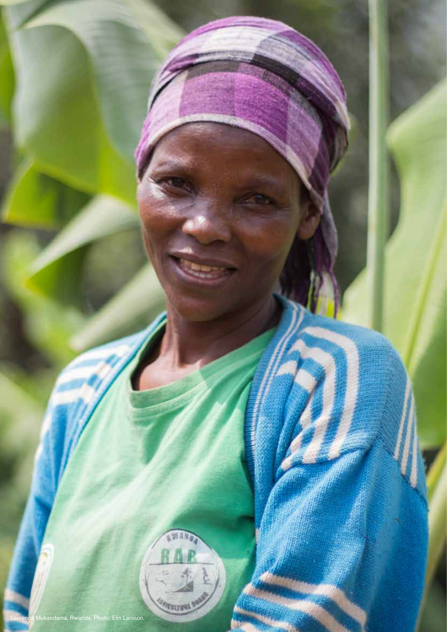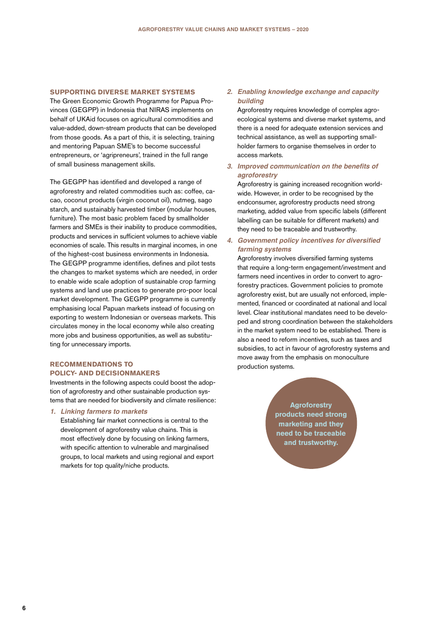### **SUPPORTING DIVERSE MARKET SYSTEMS**

The Green Economic Growth Programme for Papua Provinces (GEGPP) in Indonesia that NIRAS implements on behalf of UKAid focuses on agricultural commodities and value-added, down-stream products that can be developed from those goods. As a part of this, it is selecting, training and mentoring Papuan SME's to become successful entrepreneurs, or 'agripreneurs', trained in the full range of small business management skills.

The GEGPP has identified and developed a range of agroforestry and related commodities such as: coffee, cacao, coconut products (virgin coconut oil), nutmeg, sago starch, and sustainably harvested timber (modular houses, furniture). The most basic problem faced by smallholder farmers and SMEs is their inability to produce commodities, products and services in sufficient volumes to achieve viable economies of scale. This results in marginal incomes, in one of the highest-cost business environments in Indonesia. The GEGPP programme identifies, defines and pilot tests the changes to market systems which are needed, in order to enable wide scale adoption of sustainable crop farming systems and land use practices to generate pro-poor local market development. The GEGPP programme is currently emphasising local Papuan markets instead of focusing on exporting to western Indonesian or overseas markets. This circulates money in the local economy while also creating more jobs and business opportunities, as well as substituting for unnecessary imports.

# **RECOMMENDATIONS TO POLICY- AND DECISIONMAKERS**

Investments in the following aspects could boost the adoption of agroforestry and other sustainable production systems that are needed for biodiversity and climate resilience:

### *1. Linking farmers to markets*

Establishing fair market connections is central to the development of agroforestry value chains. This is most effectively done by focusing on linking farmers, with specific attention to vulnerable and marginalised groups, to local markets and using regional and export markets for top quality/niche products.

# *2. Enabling knowledge exchange and capacity building*

Agroforestry requires knowledge of complex agroecological systems and diverse market systems, and there is a need for adequate extension services and technical assistance, as well as supporting smallholder farmers to organise themselves in order to access markets.

# **3. Improved communication on the benefits of**  *agroforestry*

Agroforestry is gaining increased recognition worldwide. However, in order to be recognised by the endconsumer, agroforestry products need strong marketing, added value from specific labels (different labelling can be suitable for different markets) and they need to be traceable and trustworthy.

# **4. Government policy incentives for diversified**  *farming systems*

Agroforestry involves diversified farming systems that require a long-term engagement/investment and farmers need incentives in order to convert to agroforestry practices. Government policies to promote agroforestry exist, but are usually not enforced, implemented, financed or coordinated at national and local level. Clear institutional mandates need to be developed and strong coordination between the stakeholders in the market system need to be established. There is also a need to reform incentives, such as taxes and subsidies, to act in favour of agroforestry systems and move away from the emphasis on monoculture production systems.

> **Agroforestry products need strong marketing and they need to be traceable and trustworthy.**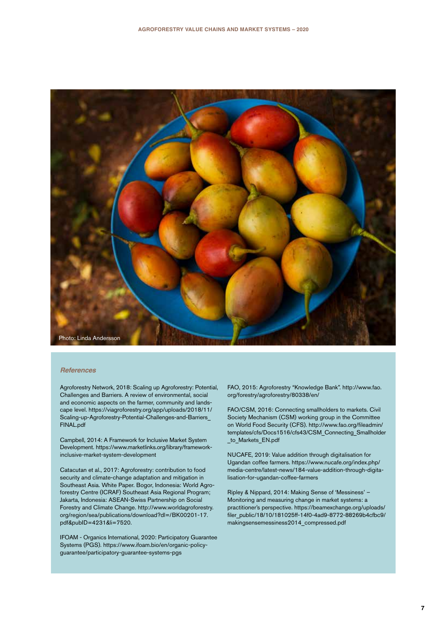

### *References*

Agroforestry Network, 2018: Scaling up Agroforestry: Potential, Challenges and Barriers. A review of environmental, social and economic aspects on the farmer, community and landscape level. https://viagroforestry.org/app/uploads/2018/11/ Scaling-up-Agroforestry-Potential-Challenges-and-Barriers\_ FINAL.pdf

Campbell, 2014: A Framework for Inclusive Market System Development. https://www.marketlinks.org/library/frameworkinclusive-market-system-development

Catacutan et al., 2017: Agroforestry: contribution to food security and climate-change adaptation and mitigation in Southeast Asia. White Paper. Bogor, Indonesia: World Agroforestry Centre (ICRAF) Southeast Asia Regional Program; Jakarta, Indonesia: ASEAN-Swiss Partnership on Social Forestry and Climate Change. http://www.worldagroforestry. org/region/sea/publications/download?dl=/BK00201-17. pdf&pubID=4231&li=7520.

IFOAM - Organics International, 2020: Participatory Guarantee Systems (PGS). https://www.ifoam.bio/en/organic-policyguarantee/participatory-guarantee-systems-pgs

FAO, 2015: Agroforestry "Knowledge Bank". http://www.fao. org/forestry/agroforestry/80338/en/

FAO/CSM, 2016: Connecting smallholders to markets. Civil Society Mechanism (CSM) working group in the Committee on World Food Security (CFS). http://www.fao.org/fileadmin/ templates/cfs/Docs1516/cfs43/CSM\_Connecting\_Smallholder to Markets EN.pdf

NUCAFE, 2019: Value addition through digitalisation for Ugandan coffee farmers. https://www.nucafe.org/index.php/ media-centre/latest-news/184-value-addition-through-digitalisation-for-ugandan-coffee-farmers

Ripley & Nippard, 2014: Making Sense of 'Messiness' – Monitoring and measuring change in market systems: a practitioner's perspective. https://beamexchange.org/uploads/ filer\_public/18/10/181025ff-14f0-4ad9-8772-88269b4cfbc9/ makingsensemessiness2014\_compressed.pdf